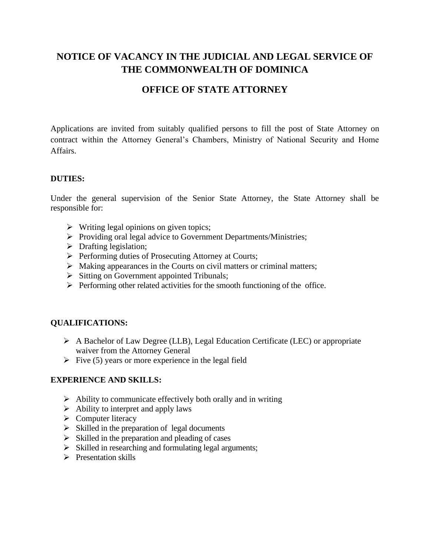# **NOTICE OF VACANCY IN THE JUDICIAL AND LEGAL SERVICE OF THE COMMONWEALTH OF DOMINICA**

## **OFFICE OF STATE ATTORNEY**

Applications are invited from suitably qualified persons to fill the post of State Attorney on contract within the Attorney General's Chambers, Ministry of National Security and Home Affairs.

#### **DUTIES:**

Under the general supervision of the Senior State Attorney, the State Attorney shall be responsible for:

- $\triangleright$  Writing legal opinions on given topics;
- ➢ Providing oral legal advice to Government Departments/Ministries;
- $\triangleright$  Drafting legislation;
- ➢ Performing duties of Prosecuting Attorney at Courts;
- ➢ Making appearances in the Courts on civil matters or criminal matters;
- ➢ Sitting on Government appointed Tribunals;
- ➢ Performing other related activities for the smooth functioning of the office.

#### **QUALIFICATIONS:**

- ➢ A Bachelor of Law Degree (LLB), Legal Education Certificate (LEC) or appropriate waiver from the Attorney General
- $\triangleright$  Five (5) years or more experience in the legal field

#### **EXPERIENCE AND SKILLS:**

- $\triangleright$  Ability to communicate effectively both orally and in writing
- $\triangleright$  Ability to interpret and apply laws
- ➢ Computer literacy
- $\triangleright$  Skilled in the preparation of legal documents
- $\triangleright$  Skilled in the preparation and pleading of cases
- ➢ Skilled in researching and formulating legal arguments;
- ➢ Presentation skills